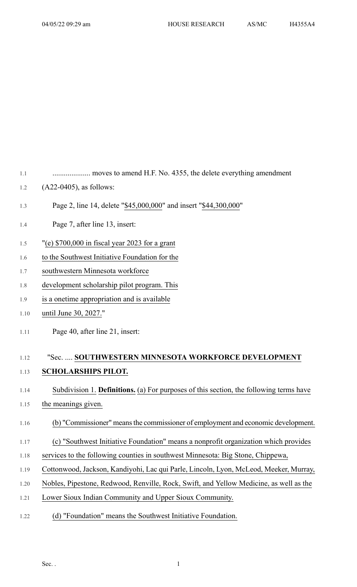1.1 .................... moves to amend H.F. No. 4355, the delete everything amendment

- 1.2 (A22-0405), as follows:
- 1.3 Page 2, line 14, delete "\$45,000,000" and insert "\$44,300,000"
- 1.4 Page 7, after line 13, insert:
- 1.5 "(e) \$700,000 in fiscal year 2023 for a grant
- 1.6 to the Southwest Initiative Foundation for the
- 1.7 southwestern Minnesota workforce
- 1.8 development scholarship pilot program. This
- 1.9 is a onetime appropriation and is available
- 1.10 until June 30, 2027."
- 1.11 Page 40, after line 21, insert:

## 1.12 "Sec. .... **SOUTHWESTERN MINNESOTA WORKFORCE DEVELOPMENT** 1.13 **SCHOLARSHIPS PILOT.**

## 1.14 Subdivision 1. **Definitions.** (a) For purposes of this section, the following terms have

1.15 the meanings given.

## 1.16 (b) "Commissioner" meansthe commissioner of employment and economic development.

- 1.17 (c) "Southwest Initiative Foundation" means a nonprofit organization which provides
- 1.18 services to the following counties in southwest Minnesota: Big Stone, Chippewa,
- 1.19 Cottonwood, Jackson, Kandiyohi, Lac qui Parle, Lincoln, Lyon, McLeod, Meeker, Murray,
- 1.20 Nobles, Pipestone, Redwood, Renville, Rock, Swift, and Yellow Medicine, as well as the
- 1.21 Lower Sioux Indian Community and Upper Sioux Community.
- 1.22 (d) "Foundation" means the Southwest Initiative Foundation.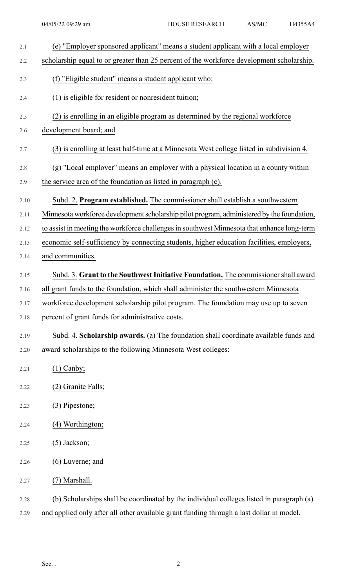| 2.1  | (e) "Employer sponsored applicant" means a student applicant with a local employer          |
|------|---------------------------------------------------------------------------------------------|
| 2.2  | scholarship equal to or greater than 25 percent of the workforce development scholarship.   |
| 2.3  | (f) "Eligible student" means a student applicant who:                                       |
| 2.4  | (1) is eligible for resident or nonresident tuition;                                        |
| 2.5  | (2) is enrolling in an eligible program as determined by the regional workforce             |
| 2.6  | development board; and                                                                      |
| 2.7  | (3) is enrolling at least half-time at a Minnesota West college listed in subdivision 4.    |
| 2.8  | (g) "Local employer" means an employer with a physical location in a county within          |
| 2.9  | the service area of the foundation as listed in paragraph (c).                              |
| 2.10 | Subd. 2. Program established. The commissioner shall establish a southwestern               |
| 2.11 | Minnesota workforce development scholarship pilot program, administered by the foundation,  |
| 2.12 | to assist in meeting the workforce challenges in southwest Minnesota that enhance long-term |
| 2.13 | economic self-sufficiency by connecting students, higher education facilities, employers,   |
| 2.14 | and communities.                                                                            |
| 2.15 | Subd. 3. Grant to the Southwest Initiative Foundation. The commissioner shall award         |
| 2.16 | all grant funds to the foundation, which shall administer the southwestern Minnesota        |
| 2.17 | workforce development scholarship pilot program. The foundation may use up to seven         |
| 2.18 | percent of grant funds for administrative costs.                                            |
| 2.19 | Subd. 4. Scholarship awards. (a) The foundation shall coordinate available funds and        |
| 2.20 | award scholarships to the following Minnesota West colleges:                                |
| 2.21 | $(1)$ Canby;                                                                                |
| 2.22 | Granite Falls;                                                                              |
| 2.23 | (3) Pipestone;                                                                              |
| 2.24 | (4) Worthington;                                                                            |
| 2.25 | $(5)$ Jackson;                                                                              |
| 2.26 | $(6)$ Luverne; and                                                                          |
| 2.27 | (7) Marshall.                                                                               |
| 2.28 | (b) Scholarships shall be coordinated by the individual colleges listed in paragraph (a)    |
| 2.29 | and applied only after all other available grant funding through a last dollar in model.    |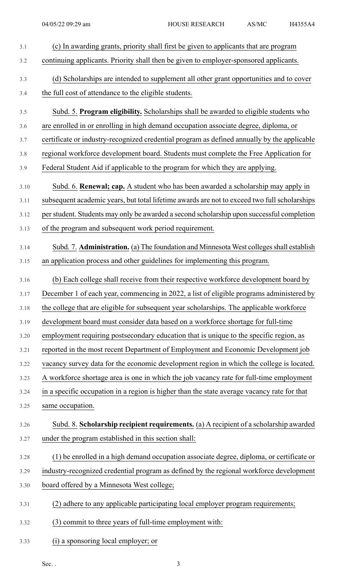| 3.1  | (c) In awarding grants, priority shall first be given to applicants that are program         |
|------|----------------------------------------------------------------------------------------------|
| 3.2  | continuing applicants. Priority shall then be given to employer-sponsored applicants.        |
| 3.3  | (d) Scholarships are intended to supplement all other grant opportunities and to cover       |
| 3.4  | the full cost of attendance to the eligible students.                                        |
| 3.5  | Subd. 5. Program eligibility. Scholarships shall be awarded to eligible students who         |
| 3.6  | are enrolled in or enrolling in high demand occupation associate degree, diploma, or         |
| 3.7  | certificate or industry-recognized credential program as defined annually by the applicable  |
| 3.8  | regional workforce development board. Students must complete the Free Application for        |
| 3.9  | Federal Student Aid if applicable to the program for which they are applying.                |
| 3.10 | Subd. 6. <b>Renewal; cap.</b> A student who has been awarded a scholarship may apply in      |
| 3.11 | subsequent academic years, but total lifetime awards are not to exceed two full scholarships |
| 3.12 | per student. Students may only be awarded a second scholarship upon successful completion    |
| 3.13 | of the program and subsequent work period requirement.                                       |
| 3.14 | Subd. 7. Administration. (a) The foundation and Minnesota West colleges shall establish      |
| 3.15 | an application process and other guidelines for implementing this program.                   |
| 3.16 | (b) Each college shall receive from their respective workforce development board by          |
| 3.17 | December 1 of each year, commencing in 2022, a list of eligible programs administered by     |
| 3.18 | the college that are eligible for subsequent year scholarships. The applicable workforce     |
| 3.19 | development board must consider data based on a workforce shortage for full-time             |
| 3.20 | employment requiring postsecondary education that is unique to the specific region, as       |
| 3.21 | reported in the most recent Department of Employment and Economic Development job            |
| 3.22 | vacancy survey data for the economic development region in which the college is located.     |
| 3.23 | A workforce shortage area is one in which the job vacancy rate for full-time employment      |
| 3.24 | in a specific occupation in a region is higher than the state average vacancy rate for that  |
| 3.25 | same occupation.                                                                             |
| 3.26 | Subd. 8. Scholarship recipient requirements. (a) A recipient of a scholarship awarded        |
| 3.27 | under the program established in this section shall:                                         |
| 3.28 | (1) be enrolled in a high demand occupation associate degree, diploma, or certificate or     |
| 3.29 | industry-recognized credential program as defined by the regional workforce development      |
| 3.30 | board offered by a Minnesota West college;                                                   |
| 3.31 | (2) adhere to any applicable participating local employer program requirements;              |
| 3.32 | (3) commit to three years of full-time employment with:                                      |
| 3.33 | a sponsoring local employer; or                                                              |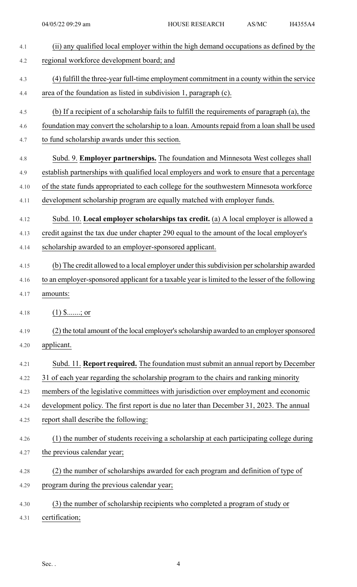| 4.1  | (ii) any qualified local employer within the high demand occupations as defined by the          |
|------|-------------------------------------------------------------------------------------------------|
| 4.2  | regional workforce development board; and                                                       |
| 4.3  | (4) fulfill the three-year full-time employment commitment in a county within the service       |
| 4.4  | area of the foundation as listed in subdivision 1, paragraph (c).                               |
| 4.5  | (b) If a recipient of a scholarship fails to fulfill the requirements of paragraph (a), the     |
| 4.6  | foundation may convert the scholarship to a loan. Amounts repaid from a loan shall be used      |
| 4.7  | to fund scholarship awards under this section.                                                  |
| 4.8  | Subd. 9. Employer partnerships. The foundation and Minnesota West colleges shall                |
| 4.9  | establish partnerships with qualified local employers and work to ensure that a percentage      |
| 4.10 | of the state funds appropriated to each college for the southwestern Minnesota workforce        |
| 4.11 | development scholarship program are equally matched with employer funds.                        |
| 4.12 | Subd. 10. Local employer scholarships tax credit. (a) A local employer is allowed a             |
| 4.13 | credit against the tax due under chapter 290 equal to the amount of the local employer's        |
| 4.14 | scholarship awarded to an employer-sponsored applicant.                                         |
| 4.15 | (b) The credit allowed to a local employer under this subdivision per scholarship awarded       |
| 4.16 | to an employer-sponsored applicant for a taxable year is limited to the lesser of the following |
| 4.17 | amounts:                                                                                        |
| 4.18 | $(1)$ \$; or                                                                                    |
| 4.19 | (2) the total amount of the local employer's scholarship awarded to an employer sponsored       |
| 4.20 | applicant.                                                                                      |
| 4.21 | Subd. 11. Report required. The foundation must submit an annual report by December              |
| 4.22 | 31 of each year regarding the scholarship program to the chairs and ranking minority            |
| 4.23 | members of the legislative committees with jurisdiction over employment and economic            |
| 4.24 | development policy. The first report is due no later than December 31, 2023. The annual         |
| 4.25 | report shall describe the following:                                                            |
| 4.26 | (1) the number of students receiving a scholarship at each participating college during         |
| 4.27 | the previous calendar year;                                                                     |
| 4.28 | (2) the number of scholarships awarded for each program and definition of type of               |
| 4.29 | program during the previous calendar year;                                                      |
| 4.30 | (3) the number of scholarship recipients who completed a program of study or                    |
| 4.31 | certification;                                                                                  |